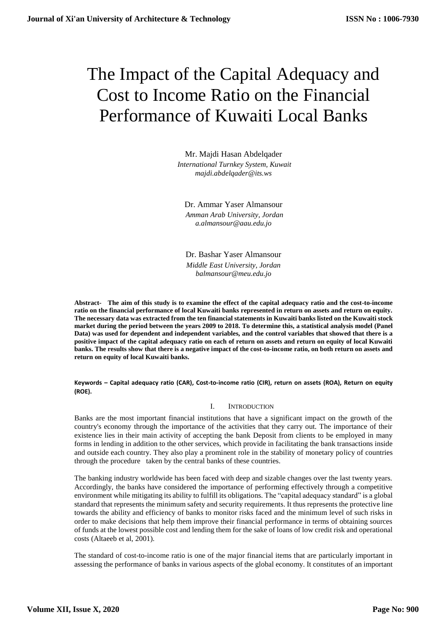# The Impact of the Capital Adequacy and Cost to Income Ratio on the Financial Performance of Kuwaiti Local Banks

Mr. Majdi Hasan Abdelqader *International Turnkey System, Kuwait [majdi.abdelqader@its.ws](mailto:majdi.abdelqader@its.ws)*

Dr. Ammar Yaser Almansour *Amman Arab University, Jordan [a.almansour@aau.edu.jo](mailto:a.almansour@aau.edu.jo)*

Dr. Bashar Yaser Almansour *Middle East University, Jordan [balmansour@meu.edu.jo](mailto:balmansour@meu.edu.jo)*

**Abstract- The aim of this study is to examine the effect of the capital adequacy ratio and the cost-to-income ratio on the financial performance of local Kuwaiti banks represented in return on assets and return on equity. The necessary data was extracted from the ten financial statements in Kuwaiti banks listed on the Kuwaiti stock market during the period between the years 2009 to 2018. To determine this, a statistical analysis model (Panel Data) was used for dependent and independent variables, and the control variables that showed that there is a positive impact of the capital adequacy ratio on each of return on assets and return on equity of local Kuwaiti banks. The results show that there is a negative impact of the cost-to-income ratio, on both return on assets and return on equity of local Kuwaiti banks.**

**Keywords – Capital adequacy ratio (CAR), Cost-to-income ratio (CIR), return on assets (ROA), Return on equity (ROE).**

## I. INTRODUCTION

Banks are the most important financial institutions that have a significant impact on the growth of the country's economy through the importance of the activities that they carry out. The importance of their existence lies in their main activity of accepting the bank Deposit from clients to be employed in many forms in lending in addition to the other services, which provide in facilitating the bank transactions inside and outside each country. They also play a prominent role in the stability of monetary policy of countries through the procedure taken by the central banks of these countries.

The banking industry worldwide has been faced with deep and sizable changes over the last twenty years. Accordingly, the banks have considered the importance of performing effectively through a competitive environment while mitigating its ability to fulfill its obligations. The "capital adequacy standard" is a global standard that represents the minimum safety and security requirements. It thus represents the protective line towards the ability and efficiency of banks to monitor risks faced and the minimum level of such risks in order to make decisions that help them improve their financial performance in terms of obtaining sources of funds at the lowest possible cost and lending them for the sake of loans of low credit risk and operational costs (Altaeeb et al, 2001).

The standard of cost-to-income ratio is one of the major financial items that are particularly important in assessing the performance of banks in various aspects of the global economy. It constitutes of an important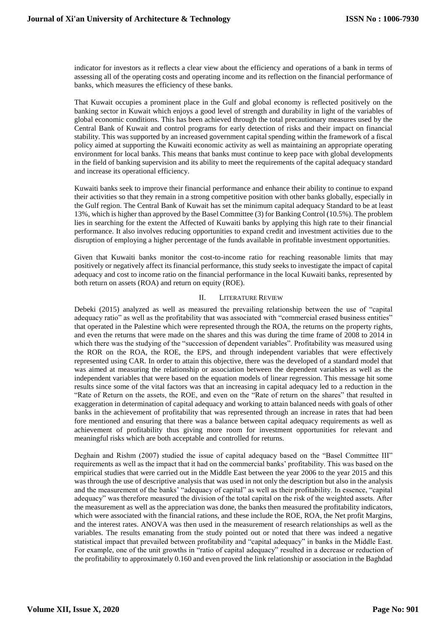indicator for investors as it reflects a clear view about the efficiency and operations of a bank in terms of assessing all of the operating costs and operating income and its reflection on the financial performance of banks, which measures the efficiency of these banks.

That Kuwait occupies a prominent place in the Gulf and global economy is reflected positively on the banking sector in Kuwait which enjoys a good level of strength and durability in light of the variables of global economic conditions. This has been achieved through the total precautionary measures used by the Central Bank of Kuwait and control programs for early detection of risks and their impact on financial stability. This was supported by an increased government capital spending within the framework of a fiscal policy aimed at supporting the Kuwaiti economic activity as well as maintaining an appropriate operating environment for local banks. This means that banks must continue to keep pace with global developments in the field of banking supervision and its ability to meet the requirements of the capital adequacy standard and increase its operational efficiency.

Kuwaiti banks seek to improve their financial performance and enhance their ability to continue to expand their activities so that they remain in a strong competitive position with other banks globally, especially in the Gulf region. The Central Bank of Kuwait has set the minimum capital adequacy Standard to be at least 13%, which is higher than approved by the Basel Committee (3) for Banking Control (10.5%). The problem lies in searching for the extent the Affected of Kuwaiti banks by applying this high rate to their financial performance. It also involves reducing opportunities to expand credit and investment activities due to the disruption of employing a higher percentage of the funds available in profitable investment opportunities.

Given that Kuwaiti banks monitor the cost-to-income ratio for reaching reasonable limits that may positively or negatively affect its financial performance, this study seeks to investigate the impact of capital adequacy and cost to income ratio on the financial performance in the local Kuwaiti banks, represented by both return on assets (ROA) and return on equity (ROE).

#### II. LITERATURE REVIEW

Debeki (2015) analyzed as well as measured the prevailing relationship between the use of "capital adequacy ratio" as well as the profitability that was associated with "commercial erased business entities" that operated in the Palestine which were represented through the ROA, the returns on the property rights, and even the returns that were made on the shares and this was during the time frame of 2008 to 2014 in which there was the studying of the "succession of dependent variables". Profitability was measured using the ROR on the ROA, the ROE, the EPS, and through independent variables that were effectively represented using CAR. In order to attain this objective, there was the developed of a standard model that was aimed at measuring the relationship or association between the dependent variables as well as the independent variables that were based on the equation models of linear regression. This message hit some results since some of the vital factors was that an increasing in capital adequacy led to a reduction in the "Rate of Return on the assets, the ROE, and even on the "Rate of return on the shares" that resulted in exaggeration in determination of capital adequacy and working to attain balanced needs with goals of other banks in the achievement of profitability that was represented through an increase in rates that had been fore mentioned and ensuring that there was a balance between capital adequacy requirements as well as achievement of profitability thus giving more room for investment opportunities for relevant and meaningful risks which are both acceptable and controlled for returns.

Deghain and Rishm (2007) studied the issue of capital adequacy based on the "Basel Committee III" requirements as well as the impact that it had on the commercial banks' profitability. This was based on the empirical studies that were carried out in the Middle East between the year 2006 to the year 2015 and this was through the use of descriptive analysis that was used in not only the description but also in the analysis and the measurement of the banks' "adequacy of capital" as well as their profitability. In essence, "capital adequacy" was therefore measured the division of the total capital on the risk of the weighted assets. After the measurement as well as the appreciation was done, the banks then measured the profitability indicators, which were associated with the financial rations, and these include the ROE, ROA, the Net profit Margins, and the interest rates. ANOVA was then used in the measurement of research relationships as well as the variables. The results emanating from the study pointed out or noted that there was indeed a negative statistical impact that prevailed between profitability and "capital adequacy" in banks in the Middle East. For example, one of the unit growths in "ratio of capital adequacy" resulted in a decrease or reduction of the profitability to approximately 0.160 and even proved the link relationship or association in the Baghdad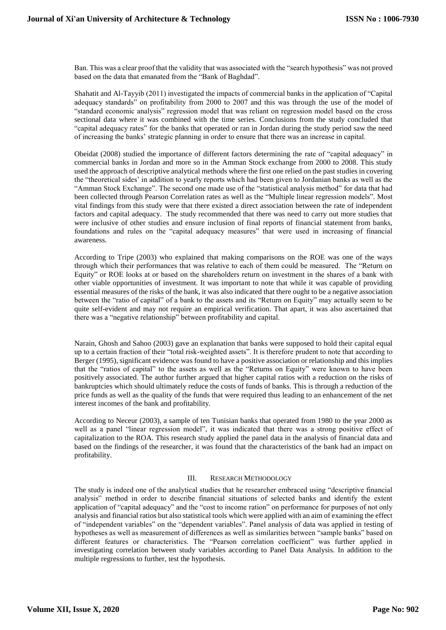Ban. This was a clear proof that the validity that was associated with the "search hypothesis" was not proved based on the data that emanated from the "Bank of Baghdad".

Shahatit and Al-Tayyib (2011) investigated the impacts of commercial banks in the application of "Capital adequacy standards" on profitability from 2000 to 2007 and this was through the use of the model of "standard economic analysis" regression model that was reliant on regression model based on the cross sectional data where it was combined with the time series. Conclusions from the study concluded that "capital adequacy rates" for the banks that operated or ran in Jordan during the study period saw the need of increasing the banks' strategic planning in order to ensure that there was an increase in capital.

Obeidat (2008) studied the importance of different factors determining the rate of "capital adequacy" in commercial banks in Jordan and more so in the Amman Stock exchange from 2000 to 2008. This study used the approach of descriptive analytical methods where the first one relied on the past studies in covering the "theoretical sides' in addition to yearly reports which had been given to Jordanian banks as well as the "Amman Stock Exchange". The second one made use of the "statistical analysis method" for data that had been collected through Pearson Correlation rates as well as the "Multiple linear regression models". Most vital findings from this study were that there existed a direct association between the rate of independent factors and capital adequacy. The study recommended that there was need to carry out more studies that were inclusive of other studies and ensure inclusion of final reports of financial statement from banks, foundations and rules on the "capital adequacy measures" that were used in increasing of financial awareness.

According to Tripe (2003) who explained that making comparisons on the ROE was one of the ways through which their performances that was relative to each of them could be measured. The "Return on Equity" or ROE looks at or based on the shareholders return on investment in the shares of a bank with other viable opportunities of investment. It was important to note that while it was capable of providing essential measures of the risks of the bank, it was also indicated that there ought to be a negative association between the "ratio of capital" of a bank to the assets and its "Return on Equity" may actually seem to be quite self-evident and may not require an empirical verification. That apart, it was also ascertained that there was a "negative relationship" between profitability and capital.

Narain, Ghosh and Sahoo (2003) gave an explanation that banks were supposed to hold their capital equal up to a certain fraction of their "total risk-weighted assets". It is therefore prudent to note that according to Berger (1995), significant evidence was found to have a positive association or relationship and this implies that the "ratios of capital" to the assets as well as the "Returns on Equity" were known to have been positively associated. The author further argued that higher capital ratios with a reduction on the risks of bankruptcies which should ultimately reduce the costs of funds of banks. This is through a reduction of the price funds as well as the quality of the funds that were required thus leading to an enhancement of the net interest incomes of the bank and profitability.

According to Neceur (2003), a sample of ten Tunisian banks that operated from 1980 to the year 2000 as well as a panel "linear regression model", it was indicated that there was a strong positive effect of capitalization to the ROA. This research study applied the panel data in the analysis of financial data and based on the findings of the researcher, it was found that the characteristics of the bank had an impact on profitability.

#### III. RESEARCH METHODOLOGY

The study is indeed one of the analytical studies that he researcher embraced using "descriptive financial analysis" method in order to describe financial situations of selected banks and identify the extent application of "capital adequacy" and the "cost to income ration" on performance for purposes of not only analysis and financial ratios but also statistical tools which were applied with an aim of examining the effect of "independent variables" on the "dependent variables". Panel analysis of data was applied in testing of hypotheses as well as measurement of differences as well as similarities between "sample banks" based on different features or characteristics. The "Pearson correlation coefficient" was further applied in investigating correlation between study variables according to Panel Data Analysis. In addition to the multiple regressions to further, test the hypothesis.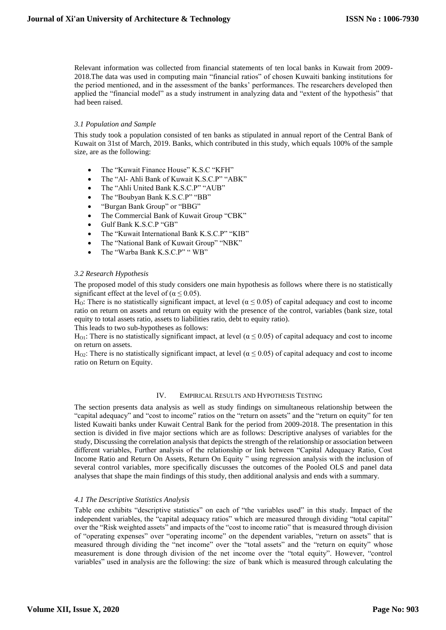Relevant information was collected from financial statements of ten local banks in Kuwait from 2009- 2018.The data was used in computing main "financial ratios" of chosen Kuwaiti banking institutions for the period mentioned, and in the assessment of the banks' performances. The researchers developed then applied the "financial model" as a study instrument in analyzing data and "extent of the hypothesis" that had been raised.

#### *3.1 Population and Sample*

This study took a population consisted of ten banks as stipulated in annual report of the Central Bank of Kuwait on 31st of March, 2019. Banks, which contributed in this study, which equals 100% of the sample size, are as the following:

- The "Kuwait Finance House" K.S.C "KFH"
- The "Al- Ahli Bank of Kuwait K.S.C.P" "ABK"
- The "Ahli United Bank K.S.C.P" "AUB"
- The "Boubyan Bank K.S.C.P" "BB"
- "Burgan Bank Group" or "BBG"
- The Commercial Bank of Kuwait Group "CBK"
- Gulf Bank K.S.C.P "GB"
- The "Kuwait International Bank K.S.C.P" "KIB"
- The "National Bank of Kuwait Group" "NBK"
- The "Warba Bank K.S.C.P" " WB"

## *3.2 Research Hypothesis*

The proposed model of this study considers one main hypothesis as follows where there is no statistically significant effect at the level of ( $\alpha \le 0.05$ ).

H<sub>O</sub>: There is no statistically significant impact, at level ( $\alpha \le 0.05$ ) of capital adequacy and cost to income ratio on return on assets and return on equity with the presence of the control, variables (bank size, total equity to total assets ratio, assets to liabilities ratio, debt to equity ratio).

This leads to two sub-hypotheses as follows:

H<sub>O1</sub>: There is no statistically significant impact, at level ( $\alpha \le 0.05$ ) of capital adequacy and cost to income on return on assets.

H<sub>O2</sub>: There is no statistically significant impact, at level ( $\alpha \le 0.05$ ) of capital adequacy and cost to income ratio on Return on Equity.

## IV. EMPIRICAL RESULTS AND HYPOTHESIS TESTING

The section presents data analysis as well as study findings on simultaneous relationship between the "capital adequacy" and "cost to income" ratios on the "return on assets" and the "return on equity" for ten listed Kuwaiti banks under Kuwait Central Bank for the period from 2009-2018. The presentation in this section is divided in five major sections which are as follows: Descriptive analyses of variables for the study, Discussing the correlation analysis that depicts the strength of the relationship or association between different variables, Further analysis of the relationship or link between "Capital Adequacy Ratio, Cost Income Ratio and Return On Assets, Return On Equity " using regression analysis with the inclusion of several control variables, more specifically discusses the outcomes of the Pooled OLS and panel data analyses that shape the main findings of this study, then additional analysis and ends with a summary.

## *4.1 The Descriptive Statistics Analysis*

Table one exhibits "descriptive statistics" on each of "the variables used" in this study. Impact of the independent variables, the "capital adequacy ratios" which are measured through dividing "total capital" over the "Risk weighted assets" and impacts of the "cost to income ratio" that is measured through division of "operating expenses" over "operating income" on the dependent variables, "return on assets" that is measured through dividing the "net income" over the "total assets" and the "return on equity" whose measurement is done through division of the net income over the "total equity". However, "control variables" used in analysis are the following: the size of bank which is measured through calculating the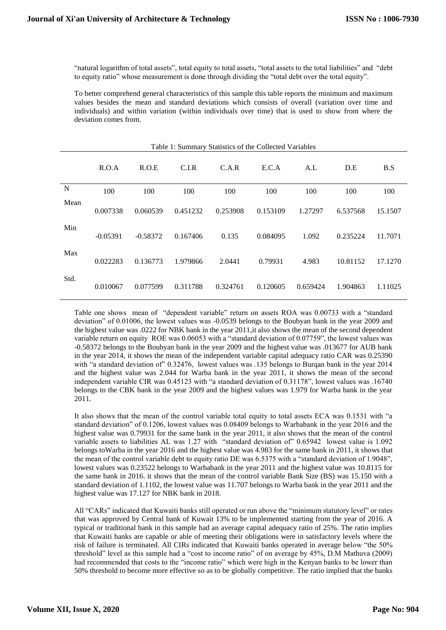"natural logarithm of total assets", total equity to total assets, "total assets to the total liabilities" and "debt to equity ratio" whose measurement is done through dividing the "total debt over the total equity".

To better comprehend general characteristics of this sample this table reports the minimum and maximum values besides the mean and standard deviations which consists of overall (variation over time and individuals) and within variation (within individuals over time) that is used to show from where the deviation comes from.

|      | R.O.A      | R.O.E      | C.I.R    | C.A.R    | E.C.A    | A.L      | D.E      | B.S     |
|------|------------|------------|----------|----------|----------|----------|----------|---------|
| N    | 100        | 100        | 100      | 100      | 100      | 100      | 100      | 100     |
| Mean | 0.007338   | 0.060539   | 0.451232 | 0.253908 | 0.153109 | 1.27297  | 6.537568 | 15.1507 |
| Min  | $-0.05391$ | $-0.58372$ | 0.167406 | 0.135    | 0.084095 | 1.092    | 0.235224 | 11.7071 |
| Max  | 0.022283   | 0.136773   | 1.979866 | 2.0441   | 0.79931  | 4.983    | 10.81152 | 17.1270 |
| Std. | 0.010067   | 0.077599   | 0.311788 | 0.324761 | 0.120605 | 0.659424 | 1.904863 | 1.11025 |

Table 1: Summary Statistics of the Collected Variables

Table one shows mean of "dependent variable" return on assets ROA was 0.00733 with a "standard deviation" of 0.01006, the lowest values was -0.0539 belongs to the Boubyan bank in the year 2009 and the highest value was .0222 for NBK bank in the year 2011,it also shows the mean of the second dependent variable return on equity ROE was 0.06053 with a "standard deviation of 0.07759", the lowest values was -0.58372 belongs to the Boubyan bank in the year 2009 and the highest value was .013677 for AUB bank in the year 2014, it shows the mean of the independent variable capital adequacy ratio CAR was 0.25390 with "a standard deviation of" 0.32476, lowest values was .135 belongs to Burqan bank in the year 2014 and the highest value was 2.044 for Warba bank in the year 2011, it shows the mean of the second independent variable CIR was 0.45123 with "a standard deviation of 0.31178", lowest values was .16740 belongs to the CBK bank in the year 2009 and the highest values was 1.979 for Warba bank in the year 2011.

It also shows that the mean of the control variable total equity to total assets ECA was 0.1531 with "a standard deviation" of 0.1206, lowest values was 0.08409 belongs to Warbabank in the year 2016 and the highest value was 0.79931 for the same bank in the year 2011, it also shows that the mean of the control variable assets to liabilities AL was 1.27 with "standard deviation of" 0.65942 lowest value is 1.092 belongs toWarba in the year 2016 and the highest value was 4.983 for the same bank in 2011, it shows that the mean of the control variable debt to equity ratio DE was 6.5375 with a "standard deviation of 1.9048", lowest values was 0.23522 belongs to Warbabank in the year 2011 and the highest value was 10.8115 for the same bank in 2016. it shows that the mean of the control variable Bank Size (BS) was 15.150 with a standard deviation of 1.1102, the lowest value was 11.707 belongs to Warba bank in the year 2011 and the highest value was 17.127 for NBK bank in 2018.

All "CARs" indicated that Kuwaiti banks still operated or run above the "minimum statutory level" or rates that was approved by Central bank of Kuwait 13% to be implemented starting from the year of 2016. A typical or traditional bank in this sample had an average capital adequacy ratio of 25%. The ratio implies that Kuwaiti banks are capable or able of meeting their obligations were in satisfactory levels where the risk of failure is terminated. All CIRs indicated that Kuwaiti banks operated in average below "the 50% threshold" level as this sample had a "cost to income ratio" of on average by 45%, D.M Mathuva (2009) had recommended that costs to the "income ratio" which were high in the Kenyan banks to be lower than 50% threshold to become more effective so as to be globally competitive. The ratio implied that the banks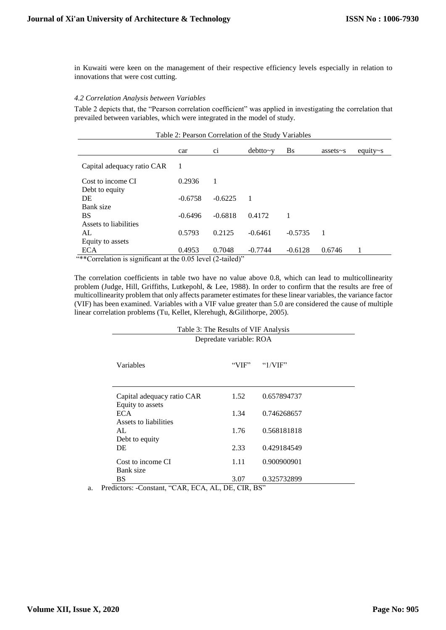in Kuwaiti were keen on the management of their respective efficiency levels especially in relation to innovations that were cost cutting.

#### *4.2 Correlation Analysis between Variables*

Table 2 depicts that, the "Pearson correlation coefficient" was applied in investigating the correlation that prevailed between variables, which were integrated in the model of study.

| Table 2: Pearson Correlation of the Study Variables |           |           |                |           |                 |                 |  |
|-----------------------------------------------------|-----------|-----------|----------------|-----------|-----------------|-----------------|--|
|                                                     | car       | C1        | $debtto-v$     | <b>Bs</b> | assets $\sim$ s | equity $\sim$ s |  |
| Capital adequacy ratio CAR                          | 1         |           |                |           |                 |                 |  |
| Cost to income CI<br>Debt to equity                 | 0.2936    | 1         |                |           |                 |                 |  |
| DE<br>Bank size                                     | $-0.6758$ | $-0.6225$ | $\overline{1}$ |           |                 |                 |  |
| <b>BS</b>                                           | $-0.6496$ | $-0.6818$ | 0.4172         | 1         |                 |                 |  |
| Assets to liabilities<br>AL                         | 0.5793    | 0.2125    | $-0.6461$      | $-0.5735$ | 1               |                 |  |
| Equity to assets<br><b>ECA</b><br>$\frac{4*}{2}$    | 0.4953    | 0.7048    | $-0.7744$      | $-0.6128$ | 0.6746          |                 |  |

\*Correlation is significant at the 0.05 level (2-tailed)

The correlation coefficients in table two have no value above 0.8, which can lead to multicollinearity problem (Judge, Hill, Griffiths, Lutkepohl, & Lee, 1988). In order to confirm that the results are free of multicollinearity problem that only affects parameter estimates for these linear variables, the variance factor (VIF) has been examined. Variables with a VIF value greater than 5.0 are considered the cause of multiple linear correlation problems (Tu, Kellet, Klerehugh, &Gilithorpe, 2005).

| Depredate variable: ROA                        |       |             |  |  |  |  |
|------------------------------------------------|-------|-------------|--|--|--|--|
| Variables                                      | "VIF" | " $1/VIF"$  |  |  |  |  |
| Capital adequacy ratio CAR<br>Equity to assets | 1.52  | 0.657894737 |  |  |  |  |
| <b>ECA</b>                                     | 1.34  | 0.746268657 |  |  |  |  |
| Assets to liabilities<br>AI.                   | 1.76  | 0.568181818 |  |  |  |  |
| Debt to equity<br>DE                           | 2.33  | 0.429184549 |  |  |  |  |
| Cost to income CI                              | 1.11  | 0.900900901 |  |  |  |  |
| Bank size<br>BS                                | 3.07  | 0.325732899 |  |  |  |  |

a. Predictors: -Constant, "CAR, ECA, AL, DE, CIR, BS"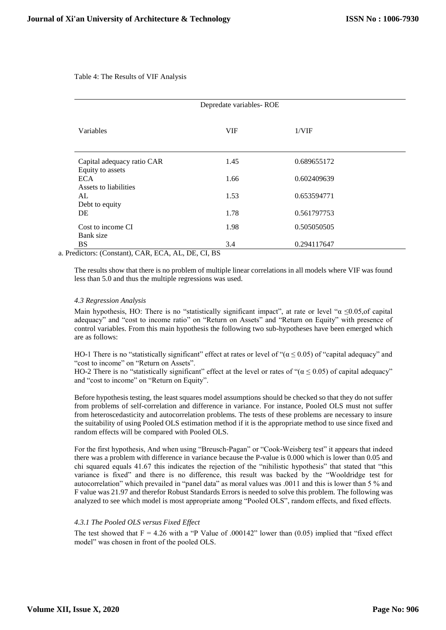Table 4: The Results of VIF Analysis

| Depredate variables-ROE                        |            |             |  |  |  |  |  |
|------------------------------------------------|------------|-------------|--|--|--|--|--|
| Variables                                      | <b>VIF</b> | 1/VIF       |  |  |  |  |  |
| Capital adequacy ratio CAR<br>Equity to assets | 1.45       | 0.689655172 |  |  |  |  |  |
| <b>ECA</b><br>Assets to liabilities            | 1.66       | 0.602409639 |  |  |  |  |  |
| AL<br>Debt to equity                           | 1.53       | 0.653594771 |  |  |  |  |  |
| DE                                             | 1.78       | 0.561797753 |  |  |  |  |  |
| Cost to income CI<br>Bank size                 | 1.98       | 0.505050505 |  |  |  |  |  |
| <b>BS</b>                                      | 3.4        | 0.294117647 |  |  |  |  |  |

a. Predictors: (Constant), CAR, ECA, AL, DE, CI, BS

The results show that there is no problem of multiple linear correlations in all models where VIF was found less than 5.0 and thus the multiple regressions was used.

#### *4.3 Regression Analysis*

Main hypothesis, HO: There is no "statistically significant impact", at rate or level " $\alpha \le 0.05$ , of capital adequacy" and "cost to income ratio" on "Return on Assets" and "Return on Equity" with presence of control variables. From this main hypothesis the following two sub-hypotheses have been emerged which are as follows:

HO-1 There is no "statistically significant" effect at rates or level of "( $\alpha \le 0.05$ ) of "capital adequacy" and "cost to income" on "Return on Assets".

HO-2 There is no "statistically significant" effect at the level or rates of " $(\alpha \le 0.05)$  of capital adequacy" and "cost to income" on "Return on Equity".

Before hypothesis testing, the least squares model assumptions should be checked so that they do not suffer from problems of self-correlation and difference in variance. For instance, Pooled OLS must not suffer from heteroscedasticity and autocorrelation problems. The tests of these problems are necessary to insure the suitability of using Pooled OLS estimation method if it is the appropriate method to use since fixed and random effects will be compared with Pooled OLS.

For the first hypothesis, And when using "Breusch-Pagan" or "Cook-Weisberg test" it appears that indeed there was a problem with difference in variance because the P-value is 0.000 which is lower than 0.05 and chi squared equals 41.67 this indicates the rejection of the "nihilistic hypothesis" that stated that "this variance is fixed" and there is no difference, this result was backed by the "Wooldridge test for autocorrelation" which prevailed in "panel data" as moral values was .0011 and this is lower than 5 % and F value was 21.97 and therefor Robust Standards Errors is needed to solve this problem. The following was analyzed to see which model is most appropriate among "Pooled OLS", random effects, and fixed effects.

## *4.3.1 The Pooled OLS versus Fixed Effect*

The test showed that  $F = 4.26$  with a "P Value of .000142" lower than (0.05) implied that "fixed effect model" was chosen in front of the pooled OLS.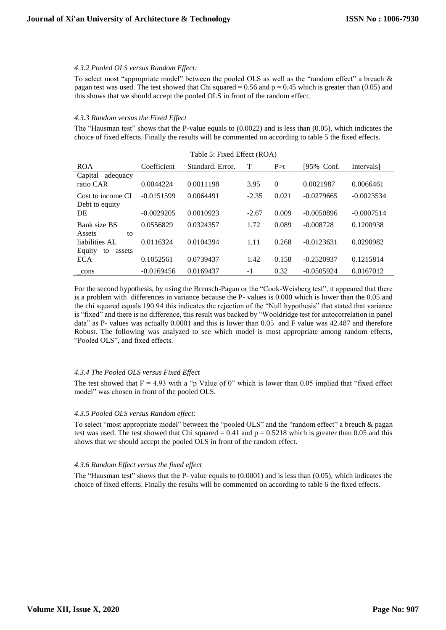#### *4.3.2 Pooled OLS versus Random Effect:*

To select most "appropriate model" between the pooled OLS as well as the "random effect" a breach & pagan test was used. The test showed that Chi squared  $= 0.56$  and  $p = 0.45$  which is greater than (0.05) and this shows that we should accept the pooled OLS in front of the random effect.

#### *4.3.3 Random versus the Fixed Effect*

The "Hausman test" shows that the P-value equals to (0.0022) and is less than (0.05), which indicates the choice of fixed effects. Finally the results will be commented on according to table 5 the fixed effects.

| Table 5: Fixed Effect (ROA)                              |              |                  |         |          |              |              |  |
|----------------------------------------------------------|--------------|------------------|---------|----------|--------------|--------------|--|
| <b>ROA</b>                                               | Coefficient  | Standard, Error. | т       | P > t    | [95% Conf.   | Intervals]   |  |
| Capital adequacy<br>ratio CAR                            | 0.0044224    | 0.0011198        | 3.95    | $\Omega$ | 0.0021987    | 0.0066461    |  |
| Cost to income CI                                        | $-0.0151599$ | 0.0064491        | $-2.35$ | 0.021    | $-0.0279665$ | $-0.0023534$ |  |
| Debt to equity<br>DE                                     | $-0.0029205$ | 0.0010923        | $-2.67$ | 0.009    | $-0.0050896$ | $-0.0007514$ |  |
| Bank size BS                                             | 0.0556829    | 0.0324357        | 1.72    | 0.089    | $-0.008728$  | 0.1200938    |  |
| Assets<br>to<br>liabilities AL<br>Equity<br>to<br>assets | 0.0116324    | 0.0104394        | 1.11    | 0.268    | $-0.0123631$ | 0.0290982    |  |
| ECA                                                      | 0.1052561    | 0.0739437        | 1.42    | 0.158    | $-0.2520937$ | 0.1215814    |  |
| cons                                                     | $-0.0169456$ | 0.0169437        | $-1$    | 0.32     | $-0.0505924$ | 0.0167012    |  |

For the second hypothesis, by using the Breusch-Pagan or the "Cook-Weisberg test", it appeared that there is a problem with differences in variance because the P- values is 0.000 which is lower than the 0.05 and the chi squared equals 190.94 this indicates the rejection of the "Null hypothesis" that stated that variance is "fixed" and there is no difference, this result was backed by "Wooldridge test for autocorrelation in panel data" as P- values was actually 0.0001 and this is lower than 0.05 and F value was 42.487 and therefore Robust. The following was analyzed to see which model is most appropriate among random effects, "Pooled OLS", and fixed effects.

## *4.3.4 The Pooled OLS versus Fixed Effect*

The test showed that  $F = 4.93$  with a "p Value of 0" which is lower than 0.05 implied that "fixed effect" model" was chosen in front of the pooled OLS.

#### *4.3.5 Pooled OLS versus Random effect:*

To select "most appropriate model" between the "pooled OLS" and the "random effect" a breuch & pagan test was used. The test showed that Chi squared  $= 0.41$  and  $p = 0.5218$  which is greater than 0.05 and this shows that we should accept the pooled OLS in front of the random effect.

## *4.3.6 Random Effect versus the fixed effect*

The "Hausman test" shows that the P- value equals to (0.0001) and is less than (0.05), which indicates the choice of fixed effects. Finally the results will be commented on according to table 6 the fixed effects.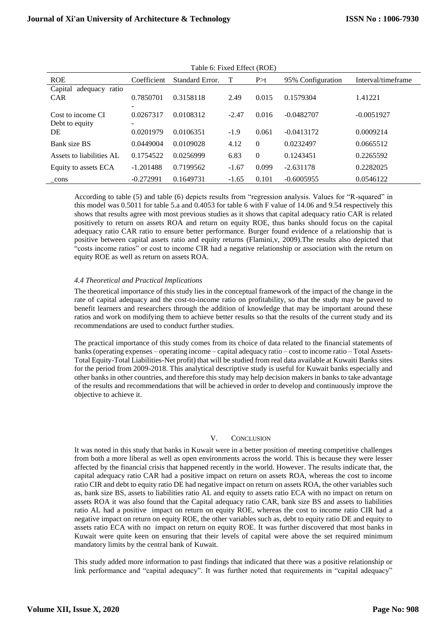| I dolu 0. I TACQ EHECI (ROE) |             |                 |         |                |                   |                    |  |
|------------------------------|-------------|-----------------|---------|----------------|-------------------|--------------------|--|
| <b>ROE</b>                   | Coefficient | Standard Error. | Т       | P > t          | 95% Configuration | Interval/timeframe |  |
| Capital adequacy ratio       |             |                 |         |                |                   |                    |  |
| <b>CAR</b>                   | 0.7850701   | 0.3158118       | 2.49    | 0.015          | 0.1579304         | 1.41221            |  |
|                              |             |                 |         |                |                   |                    |  |
| Cost to income CI            | 0.0267317   | 0.0108312       | $-2.47$ | 0.016          | $-0.0482707$      | $-0.0051927$       |  |
| Debt to equity               | ۰           |                 |         |                |                   |                    |  |
| DE                           | 0.0201979   | 0.0106351       | $-1.9$  | 0.061          | $-0.0413172$      | 0.0009214          |  |
| Bank size BS                 | 0.0449004   | 0.0109028       | 4.12    | $\overline{0}$ | 0.0232497         | 0.0665512          |  |
| Assets to liabilities AL     | 0.1754522   | 0.0256999       | 6.83    | $\theta$       | 0.1243451         | 0.2265592          |  |
| Equity to assets ECA         | $-1.201488$ | 0.7199562       | $-1.67$ | 0.099          | $-2.631178$       | 0.2282025          |  |
| cons                         | $-0.272991$ | 0.1649731       | $-1.65$ | 0.101          | $-0.6005955$      | 0.0546122          |  |

Table 6: Fixed Effect (ROE)

According to table (5) and table (6) depicts results from "regression analysis. Values for "R-squared" in this model was 0.5011 for table 5.a and 0.4053 for table 6 with F value of 14.06 and 9.54 respectively this shows that results agree with most previous studies as it shows that capital adequacy ratio CAR is related positively to return on assets ROA and return on equity ROE, thus banks should focus on the capital adequacy ratio CAR ratio to ensure better performance. Burger found evidence of a relationship that is positive between capital assets ratio and equity returns (Flamini,v, 2009).The results also depicted that "costs income ratios" or cost to income CIR had a negative relationship or association with the return on equity ROE as well as return on assets ROA.

## *4.4 Theoretical and Practical Implications*

The theoretical importance of this study lies in the conceptual framework of the impact of the change in the rate of capital adequacy and the cost-to-income ratio on profitability, so that the study may be paved to benefit learners and researchers through the addition of knowledge that may be important around these ratios and work on modifying them to achieve better results so that the results of the current study and its recommendations are used to conduct further studies.

The practical importance of this study comes from its choice of data related to the financial statements of banks (operating expenses – operating income – capital adequacy ratio – cost to income ratio – Total Assets-Total Equity-Total Liabilities-Net profit) that will be studied from real data available at Kuwaiti Banks sites for the period from 2009-2018. This analytical descriptive study is useful for Kuwait banks especially and other banks in other countries, and therefore this study may help decision makers in banks to take advantage of the results and recommendations that will be achieved in order to develop and continuously improve the objective to achieve it.

#### V. CONCLUSION

It was noted in this study that banks in Kuwait were in a better position of meeting competitive challenges from both a more liberal as well as open environments across the world. This is because they were lesser affected by the financial crisis that happened recently in the world. However. The results indicate that, the capital adequacy ratio CAR had a positive impact on return on assets ROA, whereas the cost to income ratio CIR and debt to equity ratio DE had negative impact on return on assets ROA, the other variables such as, bank size BS, assets to liabilities ratio AL and equity to assets ratio ECA with no impact on return on assets ROA it was also found that the Capital adequacy ratio CAR, bank size BS and assets to liabilities ratio AL had a positive impact on return on equity ROE, whereas the cost to income ratio CIR had a negative impact on return on equity ROE, the other variables such as, debt to equity ratio DE and equity to assets ratio ECA with no impact on return on equity ROE. It was further discovered that most banks in Kuwait were quite keen on ensuring that their levels of capital were above the set required minimum mandatory limits by the central bank of Kuwait.

This study added more information to past findings that indicated that there was a positive relationship or link performance and "capital adequacy". It was further noted that requirements in "capital adequacy"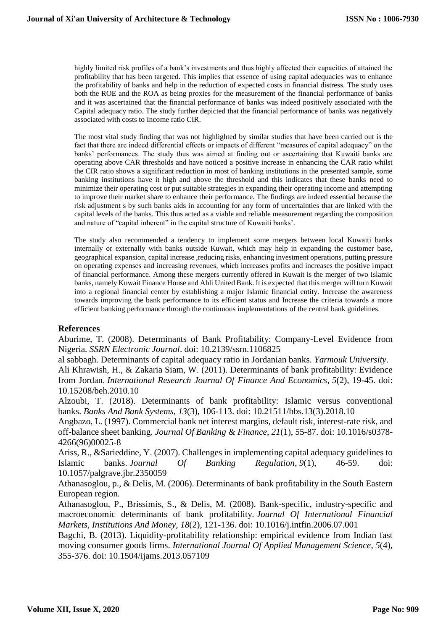highly limited risk profiles of a bank's investments and thus highly affected their capacities of attained the profitability that has been targeted. This implies that essence of using capital adequacies was to enhance the profitability of banks and help in the reduction of expected costs in financial distress. The study uses both the ROE and the ROA as being proxies for the measurement of the financial performance of banks and it was ascertained that the financial performance of banks was indeed positively associated with the Capital adequacy ratio. The study further depicted that the financial performance of banks was negatively associated with costs to Income ratio CIR.

The most vital study finding that was not highlighted by similar studies that have been carried out is the fact that there are indeed differential effects or impacts of different "measures of capital adequacy" on the banks' performances. The study thus was aimed at finding out or ascertaining that Kuwaiti banks are operating above CAR thresholds and have noticed a positive increase in enhancing the CAR ratio whilst the CIR ratio shows a significant reduction in most of banking institutions in the presented sample, some banking institutions have it high and above the threshold and this indicates that these banks need to minimize their operating cost or put suitable strategies in expanding their operating income and attempting to improve their market share to enhance their performance. The findings are indeed essential because the risk adjustment s by such banks aids in accounting for any form of uncertainties that are linked with the capital levels of the banks. This thus acted as a viable and reliable measurement regarding the composition and nature of "capital inherent" in the capital structure of Kuwaiti banks'.

The study also recommended a tendency to implement some mergers between local Kuwaiti banks internally or externally with banks outside Kuwait, which may help in expanding the customer base, geographical expansion, capital increase ,reducing risks, enhancing investment operations, putting pressure on operating expenses and increasing revenues, which increases profits and increases the positive impact of financial performance. Among these mergers currently offered in Kuwait is the merger of two Islamic banks, namely Kuwait Finance House and Ahli United Bank. It is expected that this merger will turn Kuwait into a regional financial center by establishing a major Islamic financial entity. Increase the awareness towards improving the bank performance to its efficient status and Increase the criteria towards a more efficient banking performance through the continuous implementations of the central bank guidelines.

## **References**

Aburime, T. (2008). Determinants of Bank Profitability: Company-Level Evidence from Nigeria. *SSRN Electronic Journal*. doi: 10.2139/ssrn.1106825

al sabbagh. Determinants of capital adequacy ratio in Jordanian banks. *Yarmouk University*.

Ali Khrawish, H., & Zakaria Siam, W. (2011). Determinants of bank profitability: Evidence from Jordan. *International Research Journal Of Finance And Economics*, *5*(2), 19-45. doi: 10.15208/beh.2010.10

Alzoubi, T. (2018). Determinants of bank profitability: Islamic versus conventional banks. *Banks And Bank Systems*, *13*(3), 106-113. doi: 10.21511/bbs.13(3).2018.10

Angbazo, L. (1997). Commercial bank net interest margins, default risk, interest-rate risk, and off-balance sheet banking. *Journal Of Banking & Finance*, *21*(1), 55-87. doi: 10.1016/s0378- 4266(96)00025-8

Ariss, R., &Sarieddine, Y. (2007). Challenges in implementing capital adequacy guidelines to Islamic banks. *Journal Of Banking Regulation*, *9*(1), 46-59. doi: 10.1057/palgrave.jbr.2350059

Athanasoglou, p., & Delis, M. (2006). Determinants of bank profitability in the South Eastern European region.

Athanasoglou, P., Brissimis, S., & Delis, M. (2008). Bank-specific, industry-specific and macroeconomic determinants of bank profitability. *Journal Of International Financial Markets, Institutions And Money*, *18*(2), 121-136. doi: 10.1016/j.intfin.2006.07.001

Bagchi, B. (2013). Liquidity-profitability relationship: empirical evidence from Indian fast moving consumer goods firms. *International Journal Of Applied Management Science*, *5*(4), 355-376. doi: 10.1504/ijams.2013.057109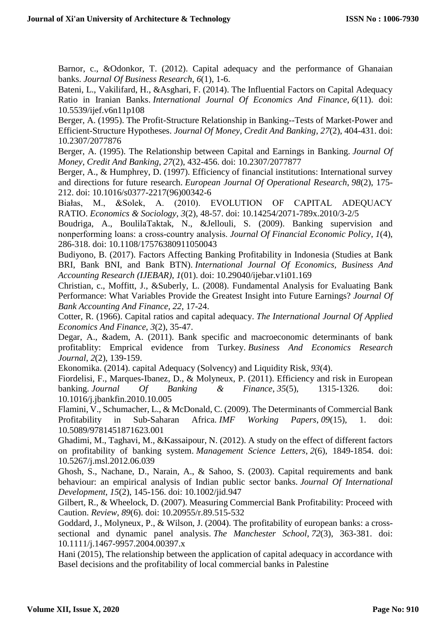Barnor, c., &Odonkor, T. (2012). Capital adequacy and the performance of Ghanaian banks. *Journal Of Business Research*, *6*(1), 1-6.

Bateni, L., Vakilifard, H., &Asghari, F. (2014). The Influential Factors on Capital Adequacy Ratio in Iranian Banks. *International Journal Of Economics And Finance*, *6*(11). doi: 10.5539/ijef.v6n11p108

Berger, A. (1995). The Profit-Structure Relationship in Banking--Tests of Market-Power and Efficient-Structure Hypotheses. *Journal Of Money, Credit And Banking*, *27*(2), 404-431. doi: 10.2307/2077876

Berger, A. (1995). The Relationship between Capital and Earnings in Banking. *Journal Of Money, Credit And Banking*, *27*(2), 432-456. doi: 10.2307/2077877

Berger, A., & Humphrey, D. (1997). Efficiency of financial institutions: International survey and directions for future research. *European Journal Of Operational Research*, *98*(2), 175- 212. doi: 10.1016/s0377-2217(96)00342-6

Białas, M., &Solek, A. (2010). EVOLUTION OF CAPITAL ADEQUACY RATIO. *Economics & Sociology*, *3*(2), 48-57. doi: 10.14254/2071-789x.2010/3-2/5

Boudriga, A., BoulilaTaktak, N., &Jellouli, S. (2009). Banking supervision and nonperforming loans: a cross‐country analysis. *Journal Of Financial Economic Policy*, *1*(4), 286-318. doi: 10.1108/17576380911050043

Budiyono, B. (2017). Factors Affecting Banking Profitability in Indonesia (Studies at Bank BRI, Bank BNI, and Bank BTN). *International Journal Of Economics, Business And Accounting Research (IJEBAR)*, *1*(01). doi: 10.29040/ijebar.v1i01.169

Christian, c., Moffitt, J., &Suberly, L. (2008). Fundamental Analysis for Evaluating Bank Performance: What Variables Provide the Greatest Insight into Future Earnings? *Journal Of Bank Accounting And Finance*, *22*, 17-24.

Cotter, R. (1966). Capital ratios and capital adequacy. *The International Journal Of Applied Economics And Finance*, *3*(2), 35-47.

Degar, A., &adem, A. (2011). Bank specific and macroeconomic determinants of bank profitablity: Emprical evidence from Turkey. *Business And Economics Research Journal*, *2*(2), 139-159.

Ekonomika. (2014). capital Adequacy (Solvency) and Liquidity Risk, *93*(4).

Fiordelisi, F., Marques-Ibanez, D., & Molyneux, P. (2011). Efficiency and risk in European banking. *Journal Of Banking & Finance*, *35*(5), 1315-1326. doi: 10.1016/j.jbankfin.2010.10.005

Flamini, V., Schumacher, L., & McDonald, C. (2009). The Determinants of Commercial Bank Profitability in Sub-Saharan Africa. *IMF Working Papers*, *09*(15), 1. doi: 10.5089/9781451871623.001

Ghadimi, M., Taghavi, M., &Kassaipour, N. (2012). A study on the effect of different factors on profitability of banking system. *Management Science Letters*, *2*(6), 1849-1854. doi: 10.5267/j.msl.2012.06.039

Ghosh, S., Nachane, D., Narain, A., & Sahoo, S. (2003). Capital requirements and bank behaviour: an empirical analysis of Indian public sector banks. *Journal Of International Development*, *15*(2), 145-156. doi: 10.1002/jid.947

Gilbert, R., & Wheelock, D. (2007). Measuring Commercial Bank Profitability: Proceed with Caution. *Review*, *89*(6). doi: 10.20955/r.89.515-532

Goddard, J., Molyneux, P., & Wilson, J. (2004). The profitability of european banks: a crosssectional and dynamic panel analysis. *The Manchester School*, *72*(3), 363-381. doi: 10.1111/j.1467-9957.2004.00397.x

Hani (2015), The relationship between the application of capital adequacy in accordance with Basel decisions and the profitability of local commercial banks in Palestine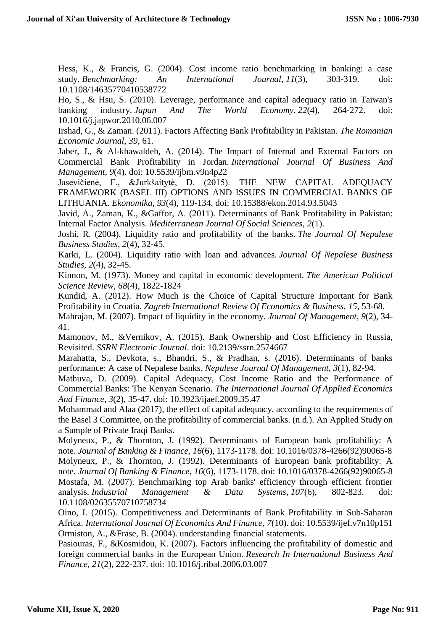Hess, K., & Francis, G. (2004). Cost income ratio benchmarking in banking: a case study. *Benchmarking: An International Journal*, *11*(3), 303-319. doi: 10.1108/14635770410538772

Ho, S., & Hsu, S. (2010). Leverage, performance and capital adequacy ratio in Taiwan's banking industry. *Japan And The World Economy*, *22*(4), 264-272. doi: 10.1016/j.japwor.2010.06.007

Irshad, G., & Zaman. (2011). Factors Affecting Bank Profitability in Pakistan. *The Romanian Economic Journal*, *39*, 61.

Jaber, J., & Al-khawaldeh, A. (2014). The Impact of Internal and External Factors on Commercial Bank Profitability in Jordan. *International Journal Of Business And Management*, *9*(4). doi: 10.5539/ijbm.v9n4p22

Jasevičienė, F., &Jurkšaitytė, D. (2015). THE NEW CAPITAL ADEQUACY FRAMEWORK (BASEL III) OPTIONS AND ISSUES IN COMMERCIAL BANKS OF LITHUANIA. *Ekonomika*, *93*(4), 119-134. doi: 10.15388/ekon.2014.93.5043

Javid, A., Zaman, K., &Gaffor, A. (2011). Determinants of Bank Profitability in Pakistan: Internal Factor Analysis. *Mediterranean Journal Of Social Sciences*, *2*(1).

Joshi, R. (2004). Liquidity ratio and profitability of the banks. *The Journal Of Nepalese Business Studies*, *2*(4), 32-45.

Karki, L. (2004). Liquidity ratio with loan and advances. *Journal Of Nepalese Business Studies*, *2*(4), 32-45.

Kinnon, M. (1973). Money and capital in economic development. *The American Political Science Review*, *68*(4), 1822-1824

Kundid, A. (2012). How Much is the Choice of Capital Structure Important for Bank Profitability in Croatia. *Zagreb International Review Of Economics & Business*, *15*, 53-68.

Mahrajan, M. (2007). Impact of liquidity in the economy. *Journal Of Management*, *9*(2), 34- 41.

Mamonov, M., &Vernikov, A. (2015). Bank Ownership and Cost Efficiency in Russia, Revisited. *SSRN Electronic Journal*. doi: 10.2139/ssrn.2574667

Marahatta, S., Devkota, s., Bhandri, S., & Pradhan, s. (2016). Determinants of banks performance: A case of Nepalese banks. *Nepalese Journal Of Management, 3*(1), 82-94.

Mathuva, D. (2009). Capital Adequacy, Cost Income Ratio and the Performance of Commercial Banks: The Kenyan Scenario. *The International Journal Of Applied Economics And Finance*, *3*(2), 35-47. doi: 10.3923/ijaef.2009.35.47

Mohammad and Alaa (2017), the effect of capital adequacy, according to the requirements of the Basel 3 Committee, on the profitability of commercial banks. (n.d.). An Applied Study on a Sample of Private Iraqi Banks.

Molyneux, P., & Thornton, J. (1992). Determinants of European bank profitability: A note. *Journal of Banking & Finance*, *16*(6), 1173-1178. doi: 10.1016/0378-4266(92)90065-8 Molyneux, P., & Thornton, J. (1992). Determinants of European bank profitability: A note. *Journal Of Banking & Finance*, *16*(6), 1173-1178. doi: 10.1016/0378-4266(92)90065-8 Mostafa, M. (2007). Benchmarking top Arab banks' efficiency through efficient frontier analysis. *Industrial Management & Data Systems*, *107*(6), 802-823. doi: 10.1108/02635570710758734

Oino, I. (2015). Competitiveness and Determinants of Bank Profitability in Sub-Saharan Africa. *International Journal Of Economics And Finance*, *7*(10). doi: 10.5539/ijef.v7n10p151 Ormiston, A., &Frase, B. (2004). understanding financial statements.

Pasiouras, F., &Kosmidou, K. (2007). Factors influencing the profitability of domestic and foreign commercial banks in the European Union. *Research In International Business And Finance*, *21*(2), 222-237. doi: 10.1016/j.ribaf.2006.03.007